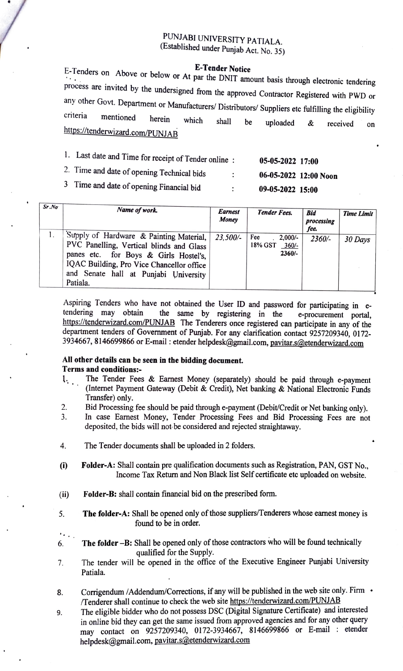## PUNJABI UNIVERSITY PATIALA. (Established under Punjab Act. No. 35)

E-Tenders on Above or below or At par the DNIT amount basis through electronic tendering process are invited by the undersigned from the approved Contractor Registered with PWD or any other Govt. Department or Manufacturers/ Distributors/ Suppliers etc fulfilling the eligibility criteria mentioned herein which shall be uploaded & received on https://tenderwizard.com/PUNJAB

| Last date and Time for receipt of Tender online:                | 05-05-2022 17:00 |
|-----------------------------------------------------------------|------------------|
| 2. Time and date of opening $T_{\text{coherent}}$ $\rightarrow$ |                  |

3 Time and date of opening Financial bid : 09-05-2022 15:00

 $2.01$  or opening Technical bids  $06-05-2022$  12:00 Noon

| Sr.No | Name of work.                                                                                                                                                                                                                  | <b>Earnest</b><br>Money | <b>Tender Fees.</b>                                 | <b>Bid</b><br>processing<br>fee. | Time Limit |
|-------|--------------------------------------------------------------------------------------------------------------------------------------------------------------------------------------------------------------------------------|-------------------------|-----------------------------------------------------|----------------------------------|------------|
|       | Supply of Hardware & Painting Material,<br>PVC Panelling, Vertical blinds and Glass<br>panes etc. for Boys & Girls Hostel's,<br>IQAC Building, Pro Vice Chancellor office<br>and Senate hall at Punjabi University<br>Patiala. | 23.500/-                | Fee<br>$2,000/$ -<br>18% GST<br>$360/-$<br>$2360/-$ | $2360/-$                         | 30 Days    |

Aspiring Tenders who have not obtained the User ID and password for participating in e tendering may obtain the same by registering in the https://tenderwizard.com/PUNJAB The Tenderers once registered can participate in any of the department tenders of Government of Punjab. For any clarification contact 9257209340, 0172-3934667, 8146699866 or E-mail : etender helpdesk@gmail.com, pavitar.s@etenderwizard.com e-procurement portal,

#### All other details can be seen in the bidding document. Terms and conditions:-

- The Tender Fees & Earnest Money (separately) should be paid through e-payment  $1, 1, 1$ Internet Payment Gateway (Debit & Credit), Net banking & National Electronic Funds Transfer) only.
- Bid Processing fee should be paid through e-payment (Debit/Credit or Net banking only). 2.
- In case Earnest Money, Tender Processing Fees and Bid Processing Fees are not deposited, the bids will not be considered and rejected straightaway. 3.
- 4. The Tender documents shall be uploaded in 2 folders.
- Folder-A: Shall contain pre qualification documents such as Registration, PAN, GST No., Income Tax Return and Non Black list Self certificate etc uploaded on website. )
- i) Folder-B: shall contain financial bid on the prescribed form.
- 5. The folder-A: Shall be opened only of those suppliers/Tenderers whose earnest moneyis found to be in order.
- $\cdot \cdot \cdot$ .<br>6. The folder -B: Shall be opened only of those contractors who will be found technically qualified for the Supply.
- The tender will be opened in the office of the Executive Engineer Punjabi University 7. Patiala.
- Corrigendum /Addendum/Corrections, if any will be published in the web site only. Firm  $\cdot$ 8. Tenderer shall continue to check the web site https://tenderwizard.com/PUNJAB
- 9. The eligible bidder who do not possess DSC (Digital Signature Certificate) and interested in online bid they can get the same issued from approved agencies and for any other query may contact on 9257209340, 0172-3934667, 8146699866 or E-mail: etender helpdesk@gmail.com, pavitar.s@etenderwizard.com